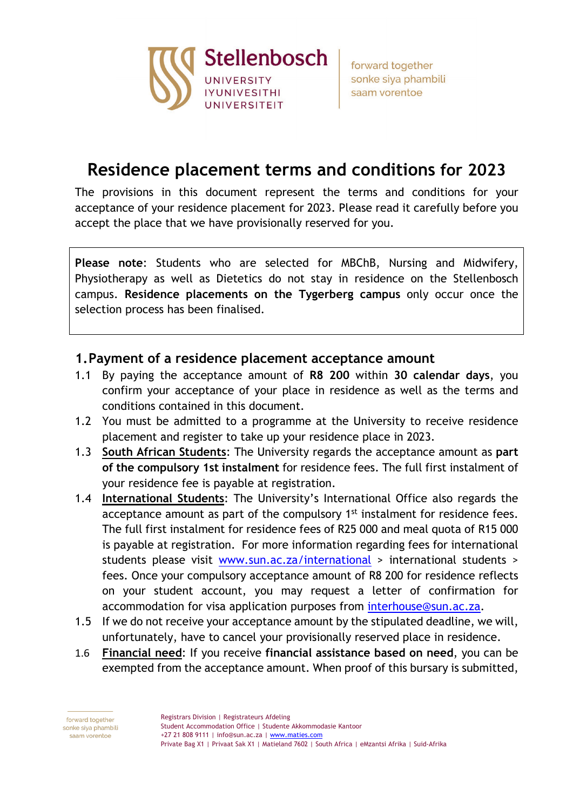

forward together sonke siya phambili saam vorentoe

# **Residence placement terms and conditions for 2023**

The provisions in this document represent the terms and conditions for your acceptance of your residence placement for 2023. Please read it carefully before you accept the place that we have provisionally reserved for you.

**Please note**: Students who are selected for MBChB, Nursing and Midwifery, Physiotherapy as well as Dietetics do not stay in residence on the Stellenbosch campus. **Residence placements on the Tygerberg campus** only occur once the selection process has been finalised.

#### **1.Payment of a residence placement acceptance amount**

- 1.1 By paying the acceptance amount of **R8 200** within **30 calendar days**, you confirm your acceptance of your place in residence as well as the terms and conditions contained in this document.
- 1.2 You must be admitted to a programme at the University to receive residence placement and register to take up your residence place in 2023.
- 1.3 **South African Students**: The University regards the acceptance amount as **part of the compulsory 1st instalment** for residence fees. The full first instalment of your residence fee is payable at registration.
- 1.4 **International Students**: The University's International Office also regards the acceptance amount as part of the compulsory 1<sup>st</sup> instalment for residence fees. The full first instalment for residence fees of R25 000 and meal quota of R15 000 is payable at registration. For more information regarding fees for international students please visit [www.sun.ac.za/international](http://www.sun.ac.za/international) > international students > fees. Once your compulsory acceptance amount of R8 200 for residence reflects on your student account, you may request a letter of confirmation for accommodation for visa application purposes from [interhouse@sun.ac.za.](mailto:interhouse@sun.ac.za)
- 1.5 If we do not receive your acceptance amount by the stipulated deadline, we will, unfortunately, have to cancel your provisionally reserved place in residence.
- 1.6 **Financial need**: If you receive **financial assistance based on need**, you can be exempted from the acceptance amount. When proof of this bursary is submitted,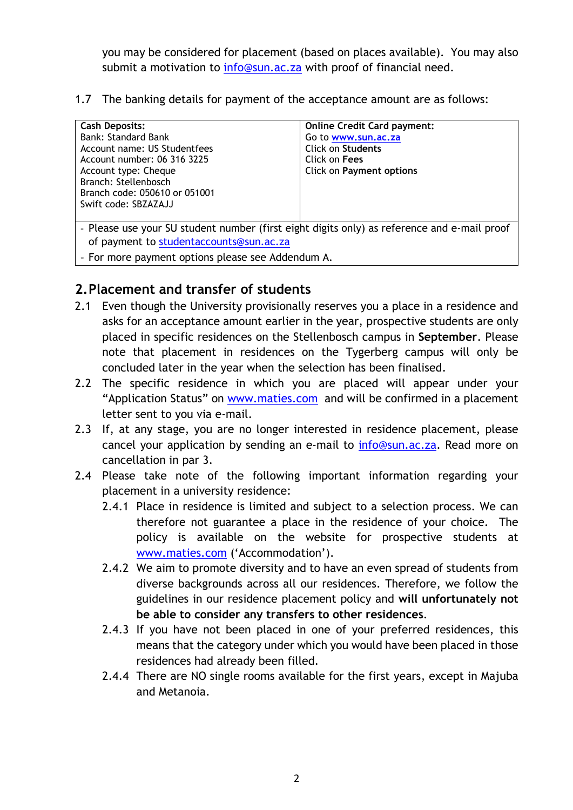you may be considered for placement (based on places available). You may also submit a motivation to [info@sun.ac.za](mailto:info@sun.ac.za) with proof of financial need.

1.7 The banking details for payment of the acceptance amount are as follows:

| <b>Cash Deposits:</b><br><b>Bank: Standard Bank</b><br>Account name: US Studentfees<br>Account number: 06 316 3225<br>Account type: Cheque<br>Branch: Stellenbosch<br>Branch code: 050610 or 051001<br>Swift code: SBZAZAJJ | <b>Online Credit Card payment:</b><br>Go to www.sun.ac.za<br>Click on Students<br>Click on Fees<br>Click on Payment options |  |
|-----------------------------------------------------------------------------------------------------------------------------------------------------------------------------------------------------------------------------|-----------------------------------------------------------------------------------------------------------------------------|--|
|                                                                                                                                                                                                                             |                                                                                                                             |  |
| - Please use your SU student number (first eight digits only) as reference and e-mail proof                                                                                                                                 |                                                                                                                             |  |

of payment to [studentaccounts@sun.ac.za](mailto:studentaccounts@sun.ac.za)

- For more payment options please see Addendum A.

## **2.Placement and transfer of students**

- 2.1 Even though the University provisionally reserves you a place in a residence and asks for an acceptance amount earlier in the year, prospective students are only placed in specific residences on the Stellenbosch campus in **September**. Please note that placement in residences on the Tygerberg campus will only be concluded later in the year when the selection has been finalised.
- 2.2 The specific residence in which you are placed will appear under your "Application Status" on [www.maties.com](http://www.maties.com/) and will be confirmed in a placement letter sent to you via e-mail.
- 2.3 If, at any stage, you are no longer interested in residence placement, please cancel your application by sending an e-mail to [info@sun.ac.za.](mailto:info@sun.ac.za) Read more on cancellation in par 3.
- 2.4 Please take note of the following important information regarding your placement in a university residence:
	- 2.4.1 Place in residence is limited and subject to a selection process. We can therefore not guarantee a place in the residence of your choice. The policy is available on the website for prospective students at [www.maties.com](http://www.maties.com/) ('Accommodation').
	- 2.4.2 We aim to promote diversity and to have an even spread of students from diverse backgrounds across all our residences. Therefore, we follow the guidelines in our residence placement policy and **will unfortunately not be able to consider any transfers to other residences**.
	- 2.4.3 If you have not been placed in one of your preferred residences, this means that the category under which you would have been placed in those residences had already been filled.
	- 2.4.4 There are NO single rooms available for the first years, except in Majuba and Metanoia.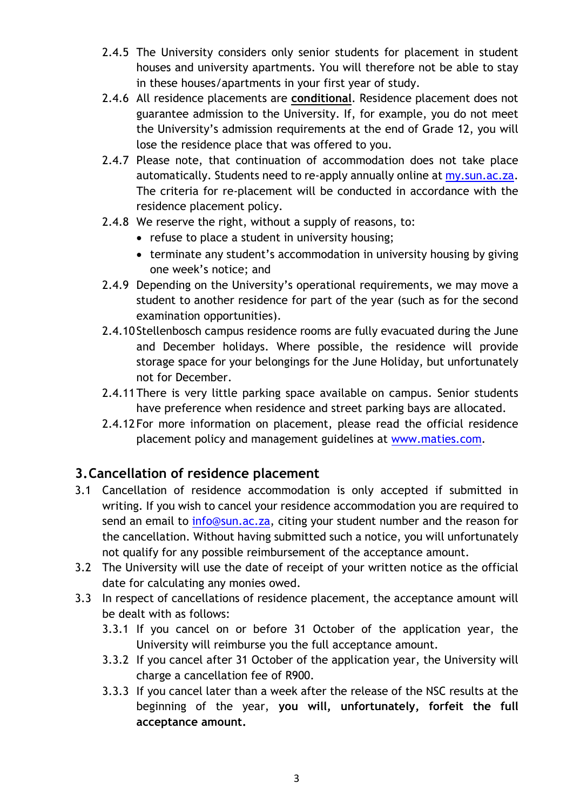- 2.4.5 The University considers only senior students for placement in student houses and university apartments. You will therefore not be able to stay in these houses/apartments in your first year of study.
- 2.4.6 All residence placements are **conditional**. Residence placement does not guarantee admission to the University. If, for example, you do not meet the University's admission requirements at the end of Grade 12, you will lose the residence place that was offered to you.
- 2.4.7 Please note, that continuation of accommodation does not take place automatically. Students need to re-apply annually online at my.sun.ac.za. The criteria for re-placement will be conducted in accordance with the residence placement policy.
- 2.4.8 We reserve the right, without a supply of reasons, to:
	- refuse to place a student in university housing;
	- terminate any student's accommodation in university housing by giving one week's notice; and
- 2.4.9 Depending on the University's operational requirements, we may move a student to another residence for part of the year (such as for the second examination opportunities).
- 2.4.10 Stellenbosch campus residence rooms are fully evacuated during the June and December holidays. Where possible, the residence will provide storage space for your belongings for the June Holiday, but unfortunately not for December.
- 2.4.11There is very little parking space available on campus. Senior students have preference when residence and street parking bays are allocated.
- 2.4.12 For more information on placement, please read the official residence placement policy and management guidelines at [www.maties.com.](http://www.maties.com/)

### **3.Cancellation of residence placement**

- 3.1 Cancellation of residence accommodation is only accepted if submitted in writing. If you wish to cancel your residence accommodation you are required to send an email to [info@sun.ac.za,](mailto:info@sun.ac.za) citing your student number and the reason for the cancellation. Without having submitted such a notice, you will unfortunately not qualify for any possible reimbursement of the acceptance amount.
- 3.2 The University will use the date of receipt of your written notice as the official date for calculating any monies owed.
- 3.3 In respect of cancellations of residence placement, the acceptance amount will be dealt with as follows:
	- 3.3.1 If you cancel on or before 31 October of the application year, the University will reimburse you the full acceptance amount.
	- 3.3.2 If you cancel after 31 October of the application year, the University will charge a cancellation fee of R900.
	- 3.3.3 If you cancel later than a week after the release of the NSC results at the beginning of the year, **you will, unfortunately, forfeit the full acceptance amount.**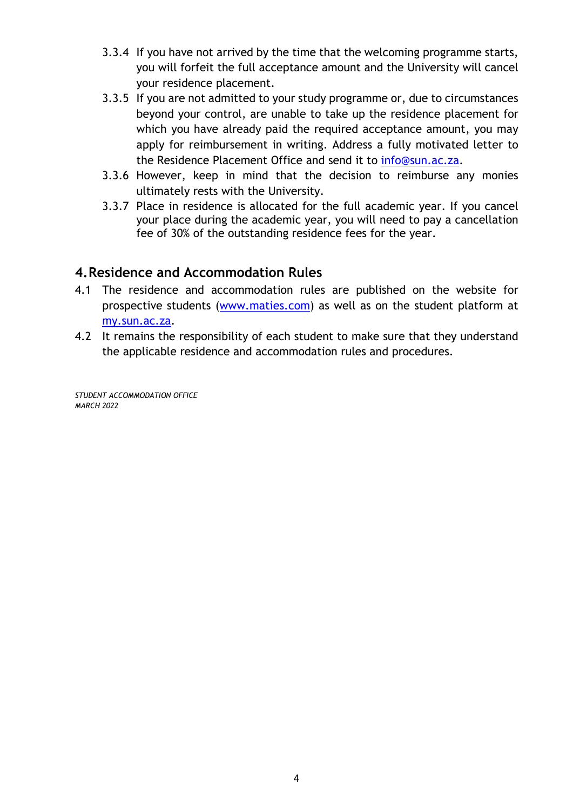- 3.3.4 If you have not arrived by the time that the welcoming programme starts, you will forfeit the full acceptance amount and the University will cancel your residence placement.
- 3.3.5 If you are not admitted to your study programme or, due to circumstances beyond your control, are unable to take up the residence placement for which you have already paid the required acceptance amount, you may apply for reimbursement in writing. Address a fully motivated letter to the Residence Placement Office and send it to [info@sun.ac.za.](mailto:info@sun.ac.za)
- 3.3.6 However, keep in mind that the decision to reimburse any monies ultimately rests with the University.
- 3.3.7 Place in residence is allocated for the full academic year. If you cancel your place during the academic year, you will need to pay a cancellation fee of 30% of the outstanding residence fees for the year.

### **4.Residence and Accommodation Rules**

- 4.1 The residence and accommodation rules are published on the website for prospective students [\(www.maties.com\)](http://www.maties.com/) as well as on the student platform at my.sun.ac.za.
- 4.2 It remains the responsibility of each student to make sure that they understand the applicable residence and accommodation rules and procedures.

*STUDENT ACCOMMODATION OFFICE MARCH 2022*